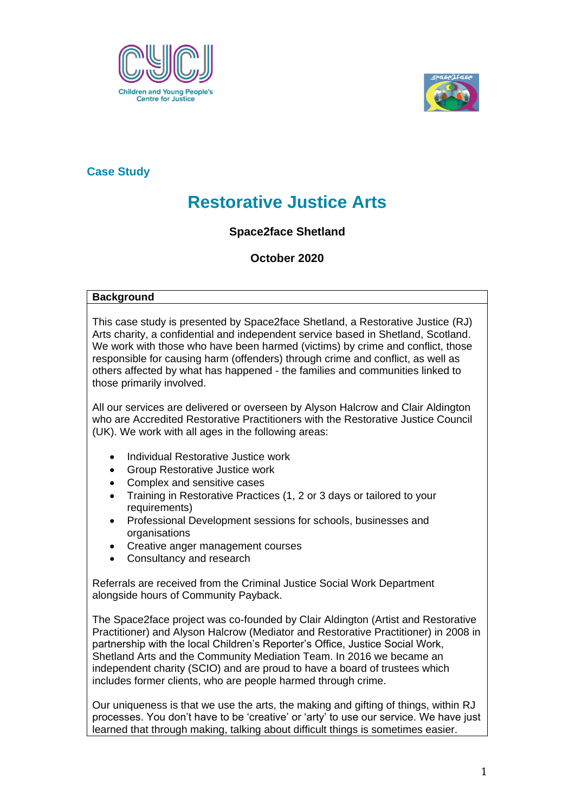



### **Case Study**

# **Restorative Justice Arts**

## **Space2face Shetland**

**October 2020**

#### **Background**

This case study is presented by Space2face Shetland, a Restorative Justice (RJ) Arts charity, a confidential and independent service based in Shetland, Scotland. We work with those who have been harmed (victims) by crime and conflict, those responsible for causing harm (offenders) through crime and conflict, as well as others affected by what has happened - the families and communities linked to those primarily involved.

All our services are delivered or overseen by Alyson Halcrow and Clair Aldington who are Accredited Restorative Practitioners with the Restorative Justice Council (UK). We work with all ages in the following areas:

- Individual Restorative Justice work
- Group Restorative Justice work
- Complex and sensitive cases
- Training in Restorative Practices (1, 2 or 3 days or tailored to your requirements)
- Professional Development sessions for schools, businesses and organisations
- Creative anger management courses
- Consultancy and research

Referrals are received from the Criminal Justice Social Work Department alongside hours of Community Payback.

The Space2face project was co-founded by Clair Aldington (Artist and Restorative Practitioner) and Alyson Halcrow (Mediator and Restorative Practitioner) in 2008 in partnership with the local Children's Reporter's Office, Justice Social Work, Shetland Arts and the Community Mediation Team. In 2016 we became an independent charity (SCIO) and are proud to have a board of trustees which includes former clients, who are people harmed through crime.

Our uniqueness is that we use the arts, the making and gifting of things, within RJ processes. You don't have to be 'creative' or 'arty' to use our service. We have just learned that through making, talking about difficult things is sometimes easier.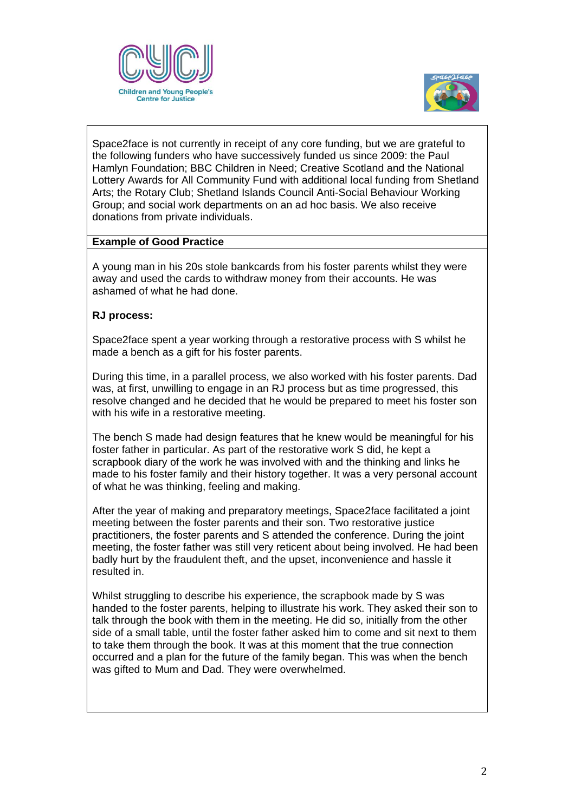



Space2face is not currently in receipt of any core funding, but we are grateful to the following funders who have successively funded us since 2009: the Paul Hamlyn Foundation; BBC Children in Need; Creative Scotland and the National Lottery Awards for All Community Fund with additional local funding from Shetland Arts; the Rotary Club; Shetland Islands Council Anti-Social Behaviour Working Group; and social work departments on an ad hoc basis. We also receive donations from private individuals.

#### **Example of Good Practice**

A young man in his 20s stole bankcards from his foster parents whilst they were away and used the cards to withdraw money from their accounts. He was ashamed of what he had done.

#### **RJ process:**

Space2face spent a year working through a restorative process with S whilst he made a bench as a gift for his foster parents.

During this time, in a parallel process, we also worked with his foster parents. Dad was, at first, unwilling to engage in an RJ process but as time progressed, this resolve changed and he decided that he would be prepared to meet his foster son with his wife in a restorative meeting.

The bench S made had design features that he knew would be meaningful for his foster father in particular. As part of the restorative work S did, he kept a scrapbook diary of the work he was involved with and the thinking and links he made to his foster family and their history together. It was a very personal account of what he was thinking, feeling and making.

After the year of making and preparatory meetings, Space2face facilitated a joint meeting between the foster parents and their son. Two restorative justice practitioners, the foster parents and S attended the conference. During the joint meeting, the foster father was still very reticent about being involved. He had been badly hurt by the fraudulent theft, and the upset, inconvenience and hassle it resulted in.

Whilst struggling to describe his experience, the scrapbook made by S was handed to the foster parents, helping to illustrate his work. They asked their son to talk through the book with them in the meeting. He did so, initially from the other side of a small table, until the foster father asked him to come and sit next to them to take them through the book. It was at this moment that the true connection occurred and a plan for the future of the family began. This was when the bench was gifted to Mum and Dad. They were overwhelmed.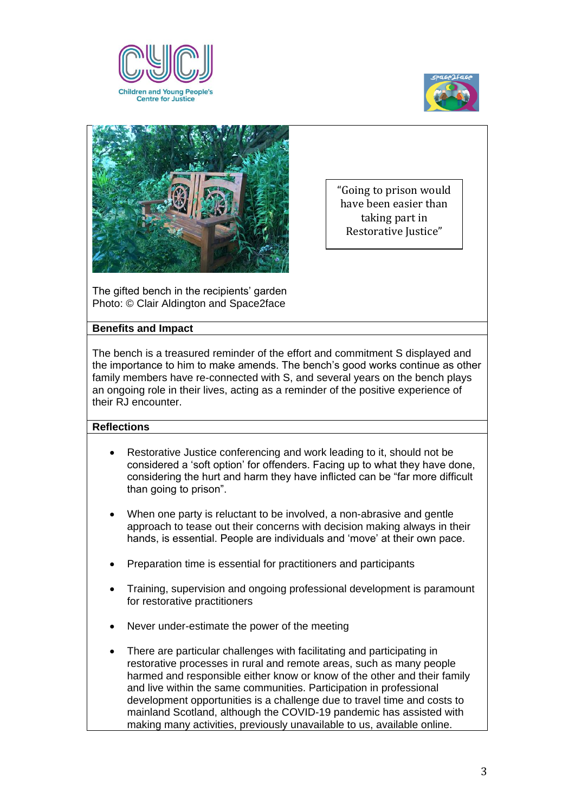





"Going to prison would have been easier than taking part in Restorative Justice"

The gifted bench in the recipients' garden Photo: © Clair Aldington and Space2face

#### **Benefits and Impact**

The bench is a treasured reminder of the effort and commitment S displayed and the importance to him to make amends. The bench's good works continue as other family members have re-connected with S, and several years on the bench plays an ongoing role in their lives, acting as a reminder of the positive experience of their RJ encounter.

#### **Reflections**

- Restorative Justice conferencing and work leading to it, should not be considered a 'soft option' for offenders. Facing up to what they have done, considering the hurt and harm they have inflicted can be "far more difficult than going to prison".
- When one party is reluctant to be involved, a non-abrasive and gentle approach to tease out their concerns with decision making always in their hands, is essential. People are individuals and 'move' at their own pace.
- Preparation time is essential for practitioners and participants
- Training, supervision and ongoing professional development is paramount for restorative practitioners
- Never under-estimate the power of the meeting
- There are particular challenges with facilitating and participating in restorative processes in rural and remote areas, such as many people harmed and responsible either know or know of the other and their family and live within the same communities. Participation in professional development opportunities is a challenge due to travel time and costs to mainland Scotland, although the COVID-19 pandemic has assisted with making many activities, previously unavailable to us, available online.